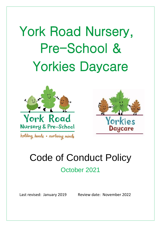York Road Nursery, Pre-School & Yorkies Daycare





# Code of Conduct Policy

# October 2021

Last revised: January 2019 Review date: November 2022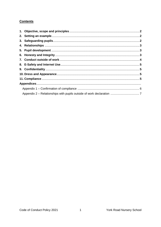# **Contents**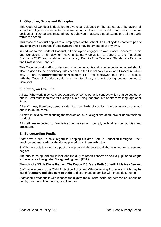# **1. Objective, Scope and Principles**

This Code of Conduct is designed to give clear guidance on the standards of behaviour all school employees are expected to observe. All staff are role models, and are in a unique position of influence, and must adhere to behaviour that sets a good example to all the pupils within the school.

This Code of Conduct applies to all employees of the school. This policy does not form part of any employee's contract of employment and it may be amended at any time.

In addition to this Code of Conduct, all employees engaged to work under Teachers' Terms and Conditions of Employment have a statutory obligation to adhere to the 'Teachers' Standards 2012' and in relation to this policy, Part 2 of the Teachers' Standards - Personal and Professional Conduct.

This Code helps all staff to understand what behaviour is and is not acceptable, regard should also be given to the disciplinary rules set out in the Disciplinary Policy and Procedure which may be found (**statutory policies sent to staff)**. Staff should be aware that a failure to comply with the Code of Conduct could result in disciplinary action including but not limited to dismissal.

# **2. Setting an Example**

All staff who work in schools set examples of behaviour and conduct which can be copied by pupils. Staff must therefore for example avoid using inappropriate or offensive language at all times.

All staff must, therefore, demonstrate high standards of conduct in order to encourage our pupils to do the same.

All staff must also avoid putting themselves at risk of allegations of abusive or unprofessional conduct.

All staff are expected to familiarise themselves and comply with all school policies and procedures.

#### **3. Safeguarding Pupils**

Staff have a duty to have regard to Keeping Children Safe in Education throughout their employment and abide by the duties placed upon them within this

Staff have a duty to safeguard pupils from physical abuse, sexual abuse, emotional abuse and neglect

The duty to safeguard pupils includes the duty to report concerns about a pupil or colleague to the school's Designated Safeguarding Lead (DSL).

The school's DSL is **Diane Frainer**. The Deputy DSL's are **Ruth Cotterill & Melissa Jeeves.**

Staff have access to the Child Protection Policy and Whistleblowing Procedure which may be found (**statutory policies sent to staff)** and staff must be familiar with these documents.

Staff should treat pupils with respect and dignity and must not seriously demean or undermine pupils, their parents or carers, or colleagues.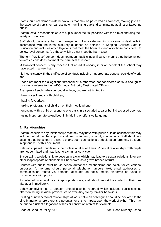Staff should not demonstrate behaviours that may be perceived as sarcasm, making jokes at the expense of pupils, embarrassing or humiliating pupils, discriminating against or favouring pupils.

Staff must take reasonable care of pupils under their supervision with the aim of ensuring their safety and welfare.

Staff should be aware that the management of any safeguarding concerns is dealt with in accordance with the latest statutory guidance as detailed in Keeping Children Safe in Education and includes any allegations that meet the harm test and also those considered to be low level concerns. (i. e those which do not meet the harm test).

The term 'low-level' concern does not mean that it is insignificant, it means that the behaviour towards a child does not meet the harm test threshold.

A low-level concern is any concern that an adult working in or on behalf of the school may have acted in a way that:

• is inconsistent with the staff code of conduct, including inappropriate conduct outside of work; and

• does not meet the allegations threshold or is otherwise not considered serious enough to consider a referral to the LADO (Local Authority Designated Officer) .

Examples of such behaviour could include, but are not limited to:

• being over friendly with children;

- having favourites;
- taking photographs of children on their mobile phone;
- engaging with a child on a one-to-one basis in a secluded area or behind a closed door; or,
- using inappropriate sexualised, intimidating or offensive language.

#### **4. Relationships**

Staff must declare any relationships that they may have with pupils outside of school; this may include mutual membership of social groups, tutoring, or family connections. Staff should not assume that the school are aware of any such connections. A declaration form may be found in appendix 2 of this document.

Relationships with pupils must be professional at all times. Physical relationships with pupils are not permitted and may lead to a criminal conviction.

Encouraging a relationship to develop in a way which may lead to a sexual relationship or any other inappropriate relationship will be viewed as a grave breach of trust.

Contact with pupils must be via school-authorised mechanisms and solely for educational purposes. At no time should personal telephone numbers, text, email addresses or communication routes via personal accounts on social media platforms be used to communicate with pupils.

If contacted by a pupil by an inappropriate route, staff should report the contact to their Line Manager immediately.

Behaviour giving rise to concern should also be reported which includes pupils seeking affection, being sexually provocative or exhibiting overly familiar behaviour.

Existing or new personal relationships at work between colleagues should be declared to the Line Manager where there is a potential for this to impact upon the work of either. This may be due to a risk of allegations of bias or conflict of interest for example.

Code of Conduct Policy 2021 3 York Road Nursery School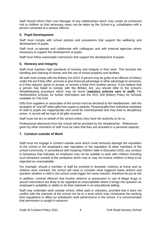Staff should inform their Line Manager of any relationships which may create an enhanced risk to children so that necessary steps can be taken by the School e.g. cohabitation with a person convicted of a serious offence.

# **5. Pupil Development**

Staff must comply with school policies and procedures that support the wellbeing and development of pupils.

Staff must co-operate and collaborate with colleagues and with external agencies where necessary to support the development of pupils.

Staff must follow reasonable instructions that support the development of pupils.

# **6. Honesty and Integrity**

Staff must maintain high standards of honesty and integrity in their work. This includes the handling and claiming of money and the use of school property and facilities.

All staff must comply with the Bribery Act 2010. A person may be guilty of an offence of bribery under this act if they offer, promise or give financial advantage or other advantage to someone; or if they request, agree or accept, or receive a bribe from another person. If you believe that a person has failed to comply with the Bribery Act, you should refer to the school's Whistleblowing procedure which may be found (**statutory policies sent to staff)**. For Hertfordshire schools, for further information see the HCC Anti Bribery Policy for Schools available on The Grid .

Gifts from suppliers or associates of the school must be declared to the Headteacher, with the exception of "one off" token gifts from pupils or parents. Personal gifts from individual members of staff to pupils are inappropriate and could be misinterpreted and may lead to disciplinary action. A record will be kept of all gifts received.

Staff must not act on behalf of the school unless they have the authority to do so.

Professional references from the school will be provided by the Headteacher. References given by other members of staff must be clear that they are provided in a personal capacity.

# **7. Conduct outside of Work**

Staff must not engage in conduct outside work which could seriously damage the reputation of the school or the employee's own reputation or the reputation of other members of the school community. In accordance with Keeping Children Safe in Education 2020, any conduct or behaviour that indicates an employee may not be suitable to work with children including such behaviour outside of the workplace which may or may not involve children is likely to be regarded as unacceptable.

For example, should a member of staff be involved in domestic violence at home and no children were involved, the school will need to consider what triggered these actions and question whether a child in the school could trigger the same reaction, therefore be put at risk

In addition, criminal offences that involve violence or possession or use of illegal drugs or sexual misconduct are likely to be regarded as unacceptable where it brings into question an employee's suitability or ability to do their role/work in an educational setting.

Staff may undertake work outside school, either paid or voluntary, provided that it does not conflict with the interests of the school nor be to a level which may contravene the working time regulations or affect an individual's work performance in the school. It is recommended that permission is sought in advance.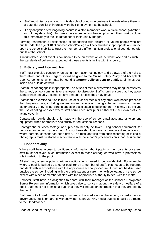- Staff must disclose any work outside school or outside business interests where there is a potential conflict of interests with their employment at the school.
- If any allegation of wrongdoing occurs in a staff member's work outside school (whether or not they deny this) which may have a bearing on their employment they must disclose this immediately to the Headteacher or their Line Manager.

Forming inappropriate relationships or friendships with children or young people who are pupils under the age of 18 at another school/college will be viewed as inappropriate and impact upon the school's ability to trust the member of staff to maintain professional boundaries with pupils at the school.

A work related social event is considered to be an extension of the workplace and as such the standards of behaviour expected at these events is in line with this policy.

#### **8. E-Safety and Internet Use**

Staff must exercise caution when using information technology and be aware of the risks to themselves and others. Regard should be given to the Online Safety Policy and Acceptable User Agreements, which may be found (**statutory policies sent to staff)**, at all times both inside and outside of work.

Staff must not engage in inappropriate use of social media sites which may bring themselves, the school, school community or employer into disrepute. Staff should ensure that they adopt suitably high security settings on any personal profiles they may have.

Staff should exercise caution in their use of all social media or any other web based presence that they may have, including written content, videos or photographs, and views expressed either directly or by 'liking' certain pages or posts established by others. This may also include the use of dating websites where staff could encounter pupils either with their own profile or acting covertly.

Contact with pupils should only made via the use of school email accounts or telephone equipment when appropriate and strictly for educational reasons.

Photographs or video footage of pupils should only be taken using school equipment, for purposes authorised by the school. Any such use should always be transparent and only occur where parental consent has been given. The resultant files from such recording or taking of photographs must be stored in accordance with the school's procedures on school equipment.

#### **9. Confidentiality**

Where staff have access to confidential information about pupils or their parents or carers, staff must not reveal such information except to those colleagues who have a professional role in relation to the pupil.

All staff may at some point to witness actions which need to be confidential. For example, where a pupil is bullied by another pupil (or by a member of staff), this needs to be reported and dealt with in accordance with the appropriate school procedure. It must not be discussed outside the school, including with the pupils parent or carer, nor with colleagues in the school except with a senior member of staff with the appropriate authority to deal with the matter.

However, staff have an obligation to share with their manager or the school's Designated Senior Person any information which gives rise to concern about the safety or welfare of a pupil. Staff must not promise a pupil that they will not act on information that they are told by the pupil.

Staff are not allowed to make any comment to the media about the school, its performance, governance, pupils or parents without written approval. Any media queries should be directed to the Headteacher.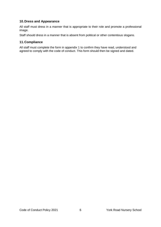# **10.Dress and Appearance**

All staff must dress in a manner that is appropriate to their role and promote a professional image.

Staff should dress in a manner that is absent from political or other contentious slogans.

#### **11.Compliance**

All staff must complete the form in appendix 1 to confirm they have read, understood and agreed to comply with the code of conduct. This form should then be signed and dated.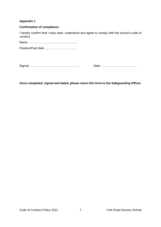#### **Appendix 1**

#### **Confirmation of compliance**

I hereby confirm that I have read, understood and agree to comply with the school's code of conduct.

Name ………………………………………….. Position/Post Held…………………………….

Signed ………………………………………….. Date ………………………………

**Once completed, signed and dated, please return this form to the Safeguarding Officer.**